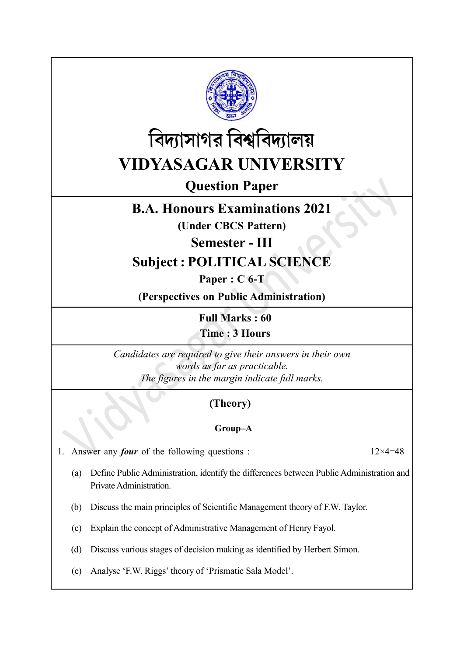



Question Paper

# B.A. Honours Examinations 2021

(Under CBCS Pattern)

Semester - III

# Subject : POLITICAL SCIENCE

Paper : C 6-T

(Perspectives on Public Administration)

Full Marks : 60

Time : 3 Hours

Candidates are required to give their answers in their own words as far as practicable. The figures in the margin indicate full marks.

## (Theory)

### Group–A

1. Answer any *four* of the following questions :  $12 \times 4 = 48$ 

- (a) Define Public Administration, identify the differences between Public Administration and Private Administration.
- (b) Discuss the main principles of Scientific Management theory of F.W. Taylor.
- (c) Explain the concept of Administrative Management of Henry Fayol.
- (d) Discuss various stages of decision making as identified by Herbert Simon.
- (e) Analyse 'F.W. Riggs' theory of 'Prismatic Sala Model'.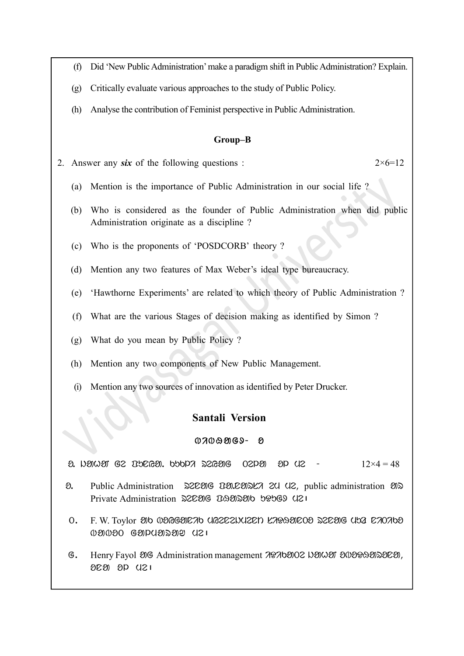- (f) Did 'New Public Administration' make a paradigm shift in Public Administration? Explain.
- (g) Critically evaluate various approaches to the study of Public Policy.
- (h) Analyse the contribution of Feminist perspective in Public Administration.

#### Group–B

2. Answer any six of the following questions :  $2 \times 6 = 12$ 

- (a) Mention is the importance of Public Administration in our social life ?
- (b) Who is considered as the founder of Public Administration when did public Administration originate as a discipline ?
- (c) Who is the proponents of 'POSDCORB' theory ?
- (d) Mention any two features of Max Weber's ideal type bureaucracy.
- (e) 'Hawthorne Experiments' are related to which theory of Public Administration ?
- (f) What are the various Stages of decision making as identified by Simon ?
- (g) What do you mean by Public Policy ?
- (h) Mention any two components of New Public Management.
- (i) Mention any two sources of innovation as identified by Peter Drucker.

#### Santali Version

#### $0700909 -$

 $\alpha$ . in the Ge and  $\alpha$  is the control of  $\alpha$  or  $\alpha$  is  $\alpha$  of  $\alpha$  is  $\alpha$  of  $\alpha$  is  $\alpha$  of  $\alpha$  is  $\alpha$  is  $\alpha$  is  $\alpha$  is  $\alpha$  is  $\alpha$  is  $\alpha$  is  $\alpha$  is  $\alpha$  is  $\alpha$  is  $\alpha$  is  $\alpha$  is  $\alpha$  is  $\alpha$  is  $\alpha$  is  $\$ 

- $\delta$ . Public Administration  $\Im$  2006  $\Im$  2008  $\Im$  2008, public administration  $\Im$ Private Administration 22020G D&2020b b&bG9 U21
- O. F. W. Toylor 30 @BGGETE 70 UG2EZNUZEN LARASEOS SZESIG USA E70768  $0.8000$  Gapuasay uzu
- G. Henry Fayol ag Administration management 70765002 Nawar a0020932020,  $000000001$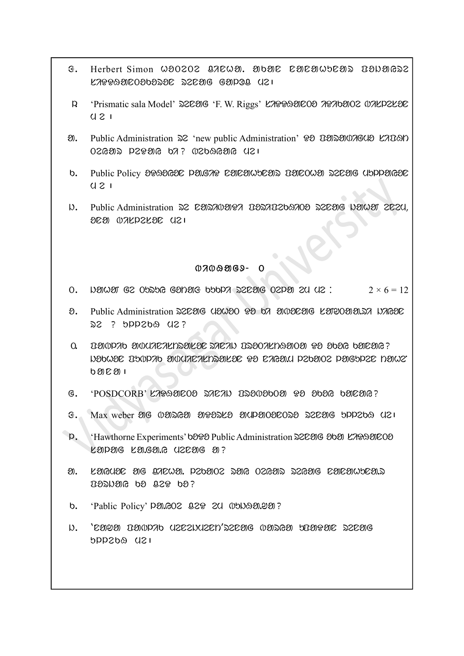- **6. Herbert Simon WOOZOZ QACWO. ODDOC COCOWDEOS DONOGSZ**  $K2999900909392$  siDeng galog  $U2$
- R. 'Prismatic sala Model' 220206 'F. W. Riggs' LAPPAEOO APA bE 02 UALDELED  $0.21$
- a. Public Administration  $\Im 2$  'new public Administration' PO DOSOUSCOUS LADON  $T$ ega $\approx$  129916 bz $\sim$  302096 cm  $\approx$  121
- b. Public Policy 20090620 PAGA9 CACAWSCAN BACOWA N2CAG USPPAG20  $U 2 I$
- D. Public Administration D2 COD700997 DOD70269709 DECOIG NOWOT 2C2U, ona bisleson me|

#### $0700909 - 0$

- 0. Negram ge Opste Ganar bota serag oepar su us:  $2 \times 6 = 12$
- a. Public Administration 220206 (12020 P3 b7 20020206 L20202020.27 N7G20  $22$  ? bpp2b $9$  u2?
- $\Omega$ . Banda administrasse sacal besonkhasion  $\Omega$  beso bacane? jokhon Publik administrason Do niYa.m lekaTe lagulen taheN  $b$   $n \times n$
- $G.$  'POSDCORB' KARAOZOO SAZAN DSONOOOO PO OOOG OOZOO?
- $\mathcal{F}$ . Max weber als 0 000 000 als also alpanoaloora also and renal ulteral valley
- p. 'Hawthorne Experiments' book Public Administration 22006 oben KAPASOOO  $k$  and  $s$  and  $s$  and  $s$  and  $s$  and  $s$  and  $s$  and  $s$  and  $s$  and  $s$  and  $s$
- $\mathfrak{A}$ . Langual ag anewa. Pzbaoz dan ozgad dzgang laneawbea.d  $D\partial\Omega$  co co centred
- b. 'Pablic Policy' PM. GOZ 829 20 05092099?
- j. 'nawa Pablik menejment'renag barYa uPaDan renag ush adsqud